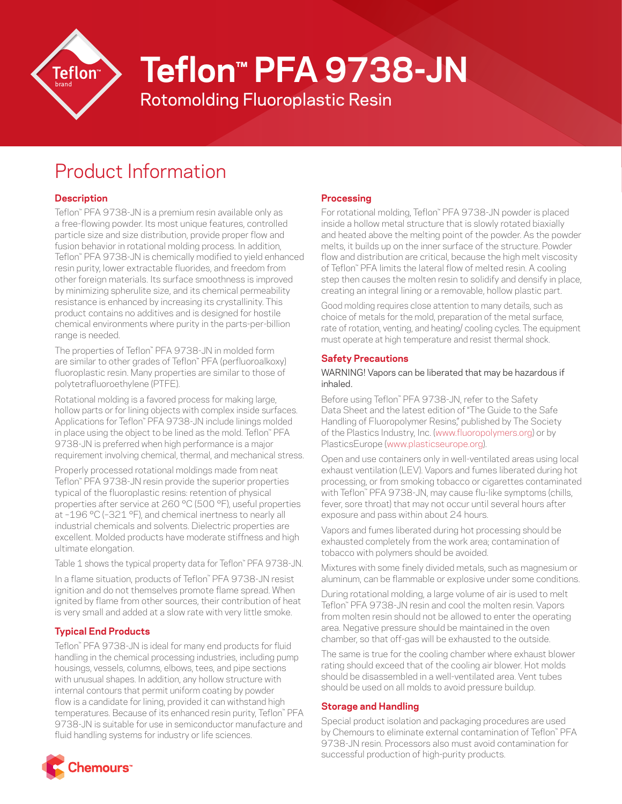

# **Teflon™ PFA 9738-JN**

Rotomolding Fluoroplastic Resin

# Product Information

# **Description**

Teflon™ PFA 9738-JN is a premium resin available only as a free-flowing powder. Its most unique features, controlled particle size and size distribution, provide proper flow and fusion behavior in rotational molding process. In addition, Teflon™ PFA 9738-JN is chemically modified to yield enhanced resin purity, lower extractable fluorides, and freedom from other foreign materials. Its surface smoothness is improved by minimizing spherulite size, and its chemical permeability resistance is enhanced by increasing its crystallinity. This product contains no additives and is designed for hostile chemical environments where purity in the parts-per-billion range is needed.

The properties of Teflon™ PFA 9738-JN in molded form are similar to other grades of Teflon™ PFA (perfluoroalkoxy) fluoroplastic resin. Many properties are similar to those of polytetrafluoroethylene (PTFE).

Rotational molding is a favored process for making large, hollow parts or for lining objects with complex inside surfaces. Applications for Teflon™ PFA 9738-JN include linings molded in place using the object to be lined as the mold. Teflon™ PFA 9738-JN is preferred when high performance is a major requirement involving chemical, thermal, and mechanical stress.

Properly processed rotational moldings made from neat Teflon™ PFA 9738-JN resin provide the superior properties typical of the fluoroplastic resins: retention of physical properties after service at 260 °C (500 °F), useful properties at –196 °C (–321 °F), and chemical inertness to nearly all industrial chemicals and solvents. Dielectric properties are excellent. Molded products have moderate stiffness and high ultimate elongation.

Table 1 shows the typical property data for Teflon™ PFA 9738-JN.

In a flame situation, products of Teflon™ PFA 9738-JN resist ignition and do not themselves promote flame spread. When ignited by flame from other sources, their contribution of heat is very small and added at a slow rate with very little smoke.

## **Typical End Products**

Teflon™ PFA 9738-JN is ideal for many end products for fluid handling in the chemical processing industries, including pump housings, vessels, columns, elbows, tees, and pipe sections with unusual shapes. In addition, any hollow structure with internal contours that permit uniform coating by powder flow is a candidate for lining, provided it can withstand high temperatures. Because of its enhanced resin purity, Teflon™ PFA 9738-JN is suitable for use in semiconductor manufacture and fluid handling systems for industry or life sciences.

# **Processing**

For rotational molding, Teflon™ PFA 9738-JN powder is placed inside a hollow metal structure that is slowly rotated biaxially and heated above the melting point of the powder. As the powder melts, it builds up on the inner surface of the structure. Powder flow and distribution are critical, because the high melt viscosity of Teflon™ PFA limits the lateral flow of melted resin. A cooling step then causes the molten resin to solidify and densify in place, creating an integral lining or a removable, hollow plastic part.

Good molding requires close attention to many details, such as choice of metals for the mold, preparation of the metal surface, rate of rotation, venting, and heating/ cooling cycles. The equipment must operate at high temperature and resist thermal shock.

### **Safety Precautions**

#### WARNING! Vapors can be liberated that may be hazardous if inhaled.

Before using Teflon™ PFA 9738-JN, refer to the Safety Data Sheet and the latest edition of "The Guide to the Safe Handling of Fluoropolymer Resins," published by The Society of the Plastics Industry, Inc. ([www.fluoropolymers.org](http://www.fluoropolymers.org)) or by PlasticsEurope ([www.plasticseurope.org\)](http://www.plasticseurope.org).

Open and use containers only in well-ventilated areas using local exhaust ventilation (LEV). Vapors and fumes liberated during hot processing, or from smoking tobacco or cigarettes contaminated with Teflon™ PFA 9738-JN, may cause flu-like symptoms (chills, fever, sore throat) that may not occur until several hours after exposure and pass within about 24 hours.

Vapors and fumes liberated during hot processing should be exhausted completely from the work area; contamination of tobacco with polymers should be avoided.

Mixtures with some finely divided metals, such as magnesium or aluminum, can be flammable or explosive under some conditions.

During rotational molding, a large volume of air is used to melt Teflon™ PFA 9738-JN resin and cool the molten resin. Vapors from molten resin should not be allowed to enter the operating area. Negative pressure should be maintained in the oven chamber, so that off-gas will be exhausted to the outside.

The same is true for the cooling chamber where exhaust blower rating should exceed that of the cooling air blower. Hot molds should be disassembled in a well-ventilated area. Vent tubes should be used on all molds to avoid pressure buildup.

#### **Storage and Handling**

Special product isolation and packaging procedures are used by Chemours to eliminate external contamination of Teflon™ PFA 9738-JN resin. Processors also must avoid contamination for successful production of high-purity products.